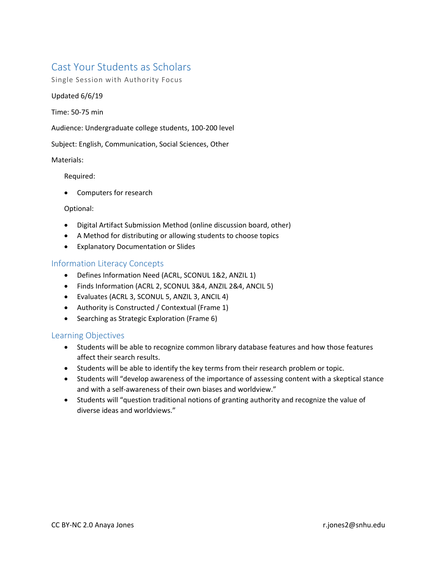# Cast Your Students as Scholars

Single Session with Authority Focus

## Updated 6/6/19

Time: 50-75 min

Audience: Undergraduate college students, 100-200 level

Subject: English, Communication, Social Sciences, Other

## Materials:

Required:

• Computers for research

#### Optional:

- Digital Artifact Submission Method (online discussion board, other)
- A Method for distributing or allowing students to choose topics
- Explanatory Documentation or Slides

# Information Literacy Concepts

- Defines Information Need (ACRL, SCONUL 1&2, ANZIL 1)
- Finds Information (ACRL 2, SCONUL 3&4, ANZIL 2&4, ANCIL 5)
- Evaluates (ACRL 3, SCONUL 5, ANZIL 3, ANCIL 4)
- Authority is Constructed / Contextual (Frame 1)
- Searching as Strategic Exploration (Frame 6)

# Learning Objectives

- Students will be able to recognize common library database features and how those features affect their search results.
- Students will be able to identify the key terms from their research problem or topic.
- Students will "develop awareness of the importance of assessing content with a skeptical stance and with a self-awareness of their own biases and worldview."
- Students will "question traditional notions of granting authority and recognize the value of diverse ideas and worldviews."